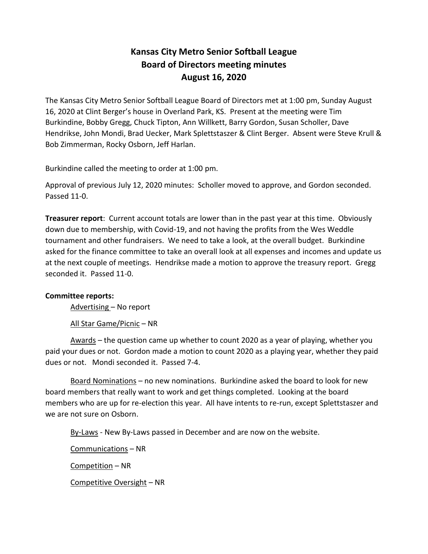# **Kansas City Metro Senior Softball League Board of Directors meeting minutes August 16, 2020**

The Kansas City Metro Senior Softball League Board of Directors met at 1:00 pm, Sunday August 16, 2020 at Clint Berger's house in Overland Park, KS. Present at the meeting were Tim Burkindine, Bobby Gregg, Chuck Tipton, Ann Willkett, Barry Gordon, Susan Scholler, Dave Hendrikse, John Mondi, Brad Uecker, Mark Splettstaszer & Clint Berger. Absent were Steve Krull & Bob Zimmerman, Rocky Osborn, Jeff Harlan.

Burkindine called the meeting to order at 1:00 pm.

Approval of previous July 12, 2020 minutes: Scholler moved to approve, and Gordon seconded. Passed 11-0.

**Treasurer report**: Current account totals are lower than in the past year at this time. Obviously down due to membership, with Covid-19, and not having the profits from the Wes Weddle tournament and other fundraisers. We need to take a look, at the overall budget. Burkindine asked for the finance committee to take an overall look at all expenses and incomes and update us at the next couple of meetings. Hendrikse made a motion to approve the treasury report. Gregg seconded it. Passed 11-0.

# **Committee reports:**

Advertising – No report

All Star Game/Picnic – NR

Awards – the question came up whether to count 2020 as a year of playing, whether you paid your dues or not. Gordon made a motion to count 2020 as a playing year, whether they paid dues or not. Mondi seconded it. Passed 7-4.

Board Nominations – no new nominations. Burkindine asked the board to look for new board members that really want to work and get things completed. Looking at the board members who are up for re-election this year. All have intents to re-run, except Splettstaszer and we are not sure on Osborn.

By-Laws - New By-Laws passed in December and are now on the website.

Communications – NR Competition – NR Competitive Oversight – NR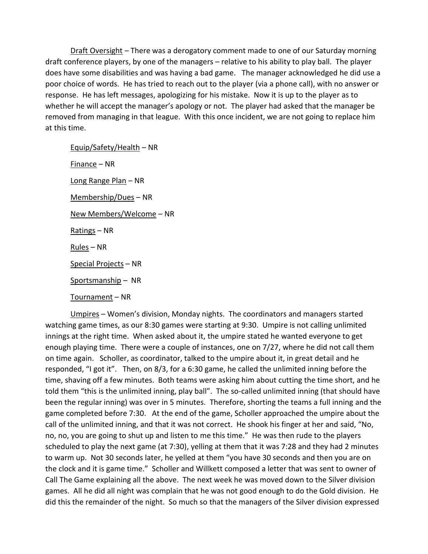Draft Oversight – There was a derogatory comment made to one of our Saturday morning draft conference players, by one of the managers – relative to his ability to play ball. The player does have some disabilities and was having a bad game. The manager acknowledged he did use a poor choice of words. He has tried to reach out to the player (via a phone call), with no answer or response. He has left messages, apologizing for his mistake. Now it is up to the player as to whether he will accept the manager's apology or not. The player had asked that the manager be removed from managing in that league. With this once incident, we are not going to replace him at this time.

Equip/Safety/Health – NR Finance – NR Long Range Plan – NR Membership/Dues – NR New Members/Welcome – NR Ratings – NR Rules – NR Special Projects – NR Sportsmanship – NR

Tournament – NR

Umpires – Women's division, Monday nights. The coordinators and managers started watching game times, as our 8:30 games were starting at 9:30. Umpire is not calling unlimited innings at the right time. When asked about it, the umpire stated he wanted everyone to get enough playing time. There were a couple of instances, one on 7/27, where he did not call them on time again. Scholler, as coordinator, talked to the umpire about it, in great detail and he responded, "I got it". Then, on 8/3, for a 6:30 game, he called the unlimited inning before the time, shaving off a few minutes. Both teams were asking him about cutting the time short, and he told them "this is the unlimited inning, play ball". The so-called unlimited inning (that should have been the regular inning) was over in 5 minutes. Therefore, shorting the teams a full inning and the game completed before 7:30. At the end of the game, Scholler approached the umpire about the call of the unlimited inning, and that it was not correct. He shook his finger at her and said, "No, no, no, you are going to shut up and listen to me this time." He was then rude to the players scheduled to play the next game (at 7:30), yelling at them that it was 7:28 and they had 2 minutes to warm up. Not 30 seconds later, he yelled at them "you have 30 seconds and then you are on the clock and it is game time." Scholler and Willkett composed a letter that was sent to owner of Call The Game explaining all the above. The next week he was moved down to the Silver division games. All he did all night was complain that he was not good enough to do the Gold division. He did this the remainder of the night. So much so that the managers of the Silver division expressed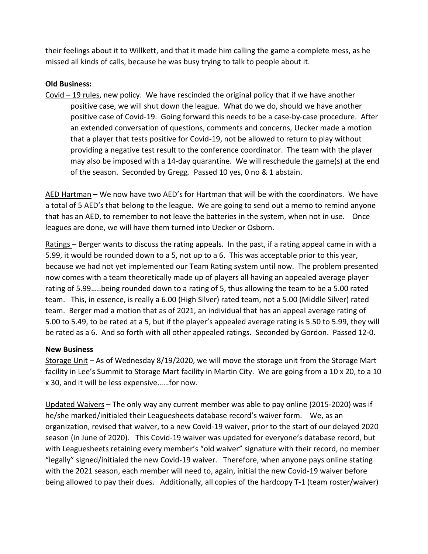their feelings about it to Willkett, and that it made him calling the game a complete mess, as he missed all kinds of calls, because he was busy trying to talk to people about it.

# **Old Business:**

 $Covid - 19$  rules, new policy. We have rescinded the original policy that if we have another positive case, we will shut down the league. What do we do, should we have another positive case of Covid-19. Going forward this needs to be a case-by-case procedure. After an extended conversation of questions, comments and concerns, Uecker made a motion that a player that tests positive for Covid-19, not be allowed to return to play without providing a negative test result to the conference coordinator. The team with the player may also be imposed with a 14-day quarantine. We will reschedule the game(s) at the end of the season. Seconded by Gregg. Passed 10 yes, 0 no & 1 abstain.

AED Hartman – We now have two AED's for Hartman that will be with the coordinators. We have a total of 5 AED's that belong to the league. We are going to send out a memo to remind anyone that has an AED, to remember to not leave the batteries in the system, when not in use. Once leagues are done, we will have them turned into Uecker or Osborn.

Ratings – Berger wants to discuss the rating appeals. In the past, if a rating appeal came in with a 5.99, it would be rounded down to a 5, not up to a 6. This was acceptable prior to this year, because we had not yet implemented our Team Rating system until now. The problem presented now comes with a team theoretically made up of players all having an appealed average player rating of 5.99…..being rounded down to a rating of 5, thus allowing the team to be a 5.00 rated team. This, in essence, is really a 6.00 (High Silver) rated team, not a 5.00 (Middle Silver) rated team. Berger mad a motion that as of 2021, an individual that has an appeal average rating of 5.00 to 5.49, to be rated at a 5, but if the player's appealed average rating is 5.50 to 5.99, they will be rated as a 6. And so forth with all other appealed ratings. Seconded by Gordon. Passed 12-0.

# **New Business**

Storage Unit – As of Wednesday 8/19/2020, we will move the storage unit from the Storage Mart facility in Lee's Summit to Storage Mart facility in Martin City. We are going from a 10 x 20, to a 10 x 30, and it will be less expensive……for now.

Updated Waivers – The only way any current member was able to pay online (2015-2020) was if he/she marked/initialed their Leaguesheets database record's waiver form. We, as an organization, revised that waiver, to a new Covid-19 waiver, prior to the start of our delayed 2020 season (in June of 2020). This Covid-19 waiver was updated for everyone's database record, but with Leaguesheets retaining every member's "old waiver" signature with their record, no member "legally" signed/initialed the new Covid-19 waiver. Therefore, when anyone pays online stating with the 2021 season, each member will need to, again, initial the new Covid-19 waiver before being allowed to pay their dues. Additionally, all copies of the hardcopy T-1 (team roster/waiver)